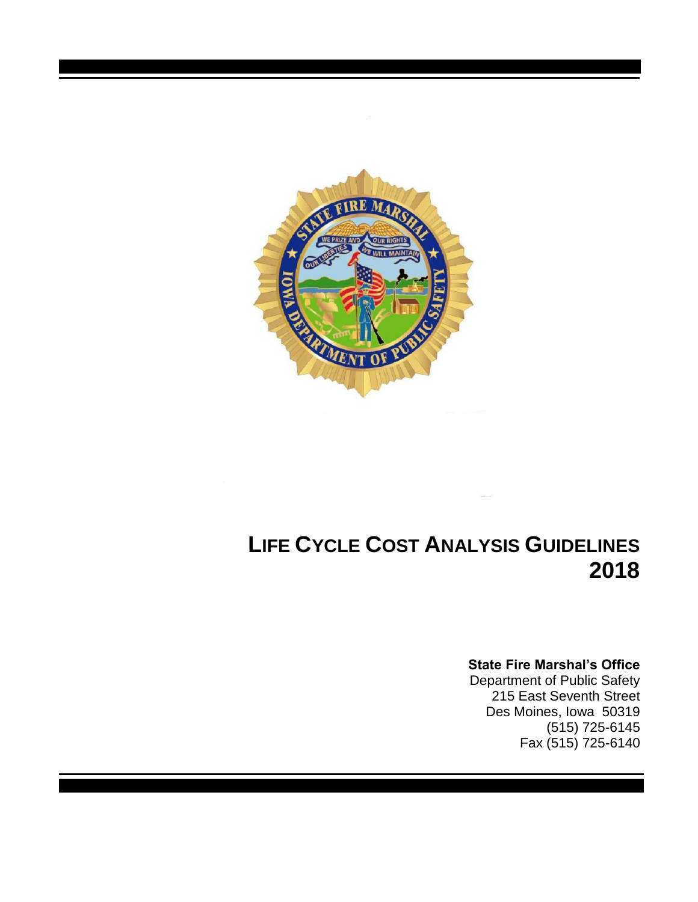

# **LIFE CYCLE COST ANALYSIS GUIDELINES 2018**

#### **State Fire Marshal's Office**

Department of Public Safety 215 East Seventh Street Des Moines, Iowa 50319 (515) 725-6145 Fax (515) 725-6140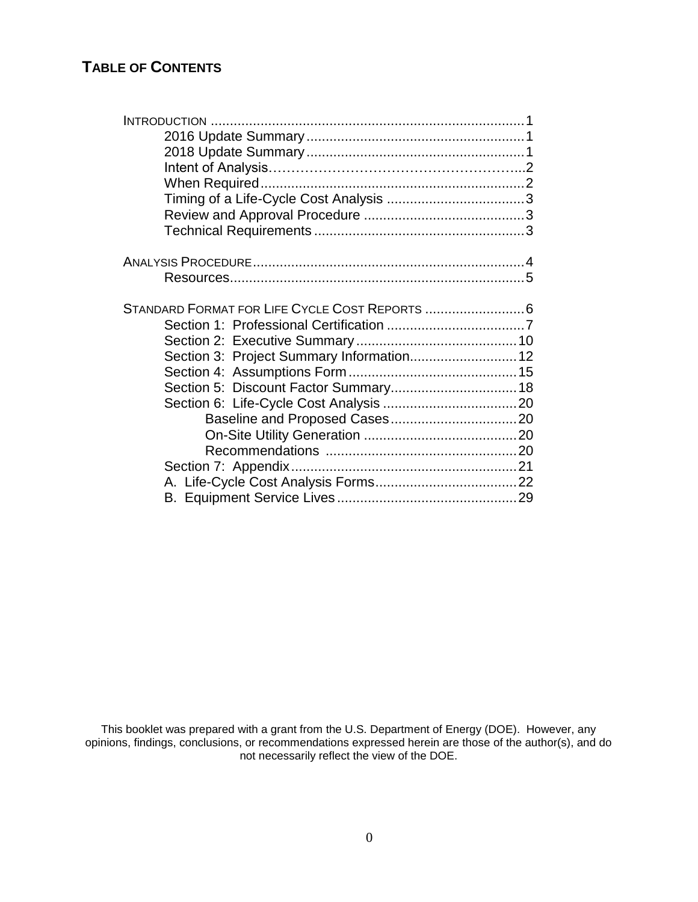## **TABLE OF CONTENTS**

| Section 3: Project Summary Information 12 |  |
|-------------------------------------------|--|
|                                           |  |
|                                           |  |
|                                           |  |
|                                           |  |
|                                           |  |
|                                           |  |
|                                           |  |
|                                           |  |
|                                           |  |

This booklet was prepared with a grant from the U.S. Department of Energy (DOE). However, any opinions, findings, conclusions, or recommendations expressed herein are those of the author(s), and do not necessarily reflect the view of the DOE.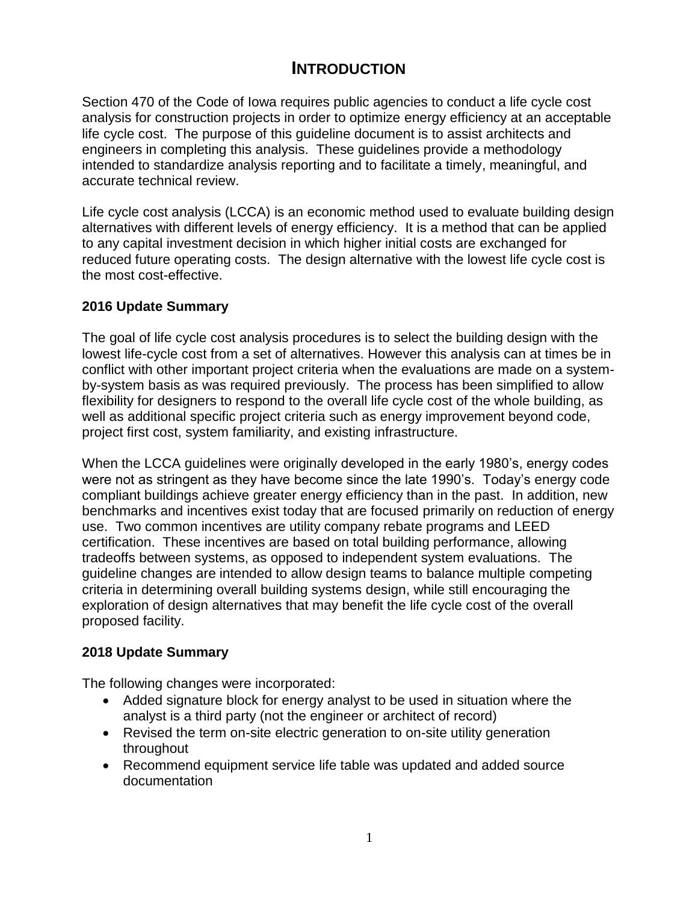## **INTRODUCTION**

Section 470 of the Code of Iowa requires public agencies to conduct a life cycle cost analysis for construction projects in order to optimize energy efficiency at an acceptable life cycle cost. The purpose of this guideline document is to assist architects and engineers in completing this analysis. These guidelines provide a methodology intended to standardize analysis reporting and to facilitate a timely, meaningful, and accurate technical review.

Life cycle cost analysis (LCCA) is an economic method used to evaluate building design alternatives with different levels of energy efficiency. It is a method that can be applied to any capital investment decision in which higher initial costs are exchanged for reduced future operating costs. The design alternative with the lowest life cycle cost is the most cost-effective.

#### **2016 Update Summary**

The goal of life cycle cost analysis procedures is to select the building design with the lowest life-cycle cost from a set of alternatives. However this analysis can at times be in conflict with other important project criteria when the evaluations are made on a systemby-system basis as was required previously. The process has been simplified to allow flexibility for designers to respond to the overall life cycle cost of the whole building, as well as additional specific project criteria such as energy improvement beyond code, project first cost, system familiarity, and existing infrastructure.

When the LCCA guidelines were originally developed in the early 1980's, energy codes were not as stringent as they have become since the late 1990's. Today's energy code compliant buildings achieve greater energy efficiency than in the past. In addition, new benchmarks and incentives exist today that are focused primarily on reduction of energy use. Two common incentives are utility company rebate programs and LEED certification. These incentives are based on total building performance, allowing tradeoffs between systems, as opposed to independent system evaluations. The guideline changes are intended to allow design teams to balance multiple competing criteria in determining overall building systems design, while still encouraging the exploration of design alternatives that may benefit the life cycle cost of the overall proposed facility.

#### **2018 Update Summary**

The following changes were incorporated:

- Added signature block for energy analyst to be used in situation where the analyst is a third party (not the engineer or architect of record)
- Revised the term on-site electric generation to on-site utility generation throughout
- Recommend equipment service life table was updated and added source documentation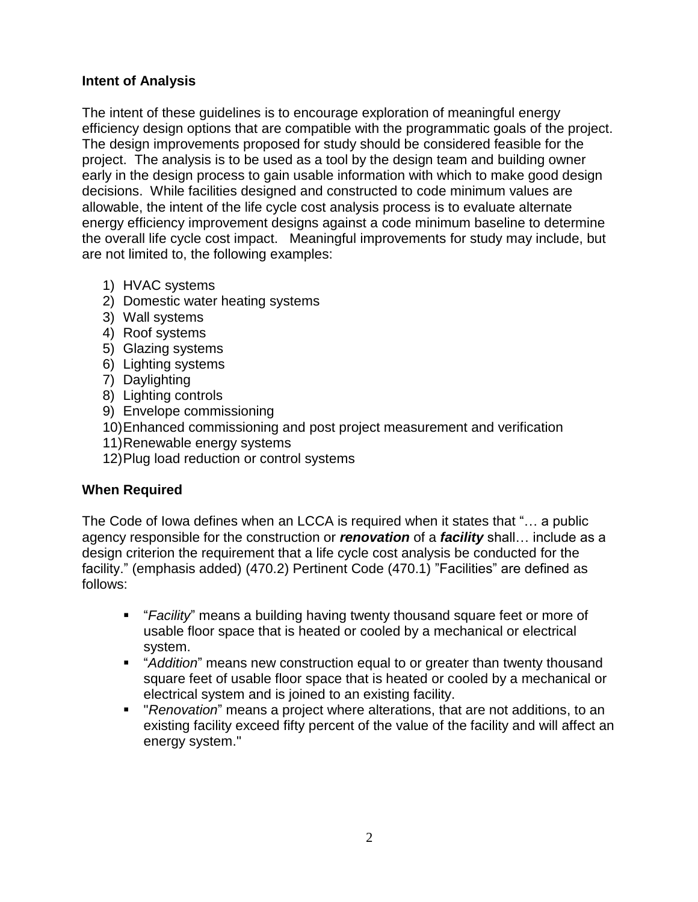#### **Intent of Analysis**

The intent of these guidelines is to encourage exploration of meaningful energy efficiency design options that are compatible with the programmatic goals of the project. The design improvements proposed for study should be considered feasible for the project. The analysis is to be used as a tool by the design team and building owner early in the design process to gain usable information with which to make good design decisions. While facilities designed and constructed to code minimum values are allowable, the intent of the life cycle cost analysis process is to evaluate alternate energy efficiency improvement designs against a code minimum baseline to determine the overall life cycle cost impact. Meaningful improvements for study may include, but are not limited to, the following examples:

- 1) HVAC systems
- 2) Domestic water heating systems
- 3) Wall systems
- 4) Roof systems
- 5) Glazing systems
- 6) Lighting systems
- 7) Daylighting
- 8) Lighting controls
- 9) Envelope commissioning
- 10)Enhanced commissioning and post project measurement and verification
- 11)Renewable energy systems
- 12)Plug load reduction or control systems

#### **When Required**

The Code of Iowa defines when an LCCA is required when it states that "… a public agency responsible for the construction or *renovation* of a *facility* shall… include as a design criterion the requirement that a life cycle cost analysis be conducted for the facility." (emphasis added) (470.2) Pertinent Code (470.1) "Facilities" are defined as follows:

- "*Facility*" means a building having twenty thousand square feet or more of usable floor space that is heated or cooled by a mechanical or electrical system.
- "*Addition*" means new construction equal to or greater than twenty thousand square feet of usable floor space that is heated or cooled by a mechanical or electrical system and is joined to an existing facility.
- "*Renovation*" means a project where alterations, that are not additions, to an existing facility exceed fifty percent of the value of the facility and will affect an energy system."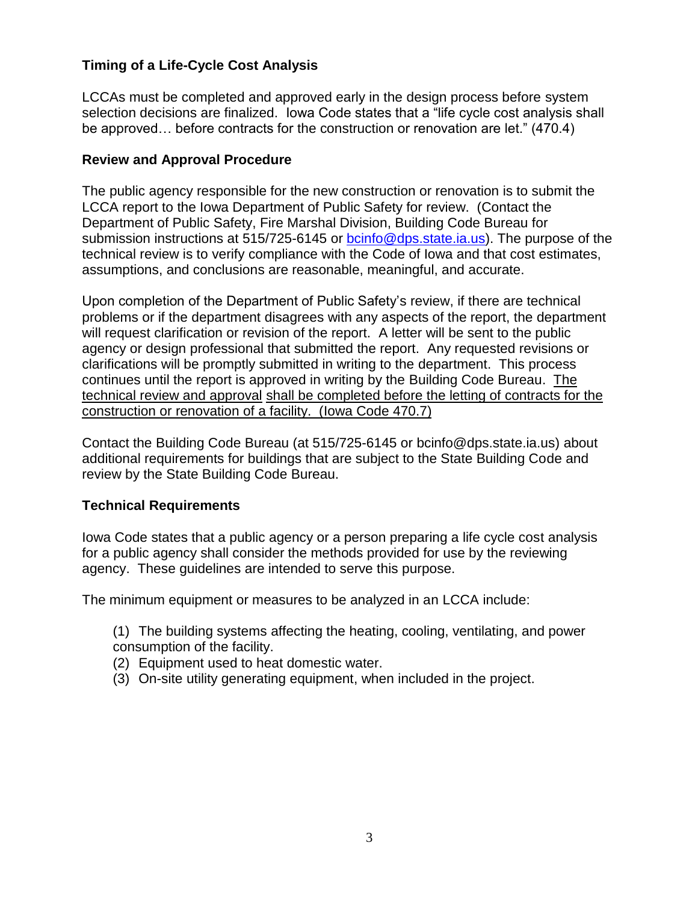#### **Timing of a Life-Cycle Cost Analysis**

LCCAs must be completed and approved early in the design process before system selection decisions are finalized. Iowa Code states that a "life cycle cost analysis shall be approved… before contracts for the construction or renovation are let." (470.4)

#### **Review and Approval Procedure**

The public agency responsible for the new construction or renovation is to submit the LCCA report to the Iowa Department of Public Safety for review. (Contact the Department of Public Safety, Fire Marshal Division, Building Code Bureau for submission instructions at 515/725-6145 or boinfo@dps.state.ia.us). The purpose of the technical review is to verify compliance with the Code of Iowa and that cost estimates, assumptions, and conclusions are reasonable, meaningful, and accurate.

Upon completion of the Department of Public Safety's review, if there are technical problems or if the department disagrees with any aspects of the report, the department will request clarification or revision of the report. A letter will be sent to the public agency or design professional that submitted the report. Any requested revisions or clarifications will be promptly submitted in writing to the department. This process continues until the report is approved in writing by the Building Code Bureau. The technical review and approval shall be completed before the letting of contracts for the construction or renovation of a facility. (Iowa Code 470.7)

Contact the Building Code Bureau (at 515/725-6145 or bcinfo@dps.state.ia.us) about additional requirements for buildings that are subject to the State Building Code and review by the State Building Code Bureau.

#### **Technical Requirements**

Iowa Code states that a public agency or a person preparing a life cycle cost analysis for a public agency shall consider the methods provided for use by the reviewing agency. These guidelines are intended to serve this purpose.

The minimum equipment or measures to be analyzed in an LCCA include:

(1) The building systems affecting the heating, cooling, ventilating, and power consumption of the facility.

- (2) Equipment used to heat domestic water.
- (3) On-site utility generating equipment, when included in the project.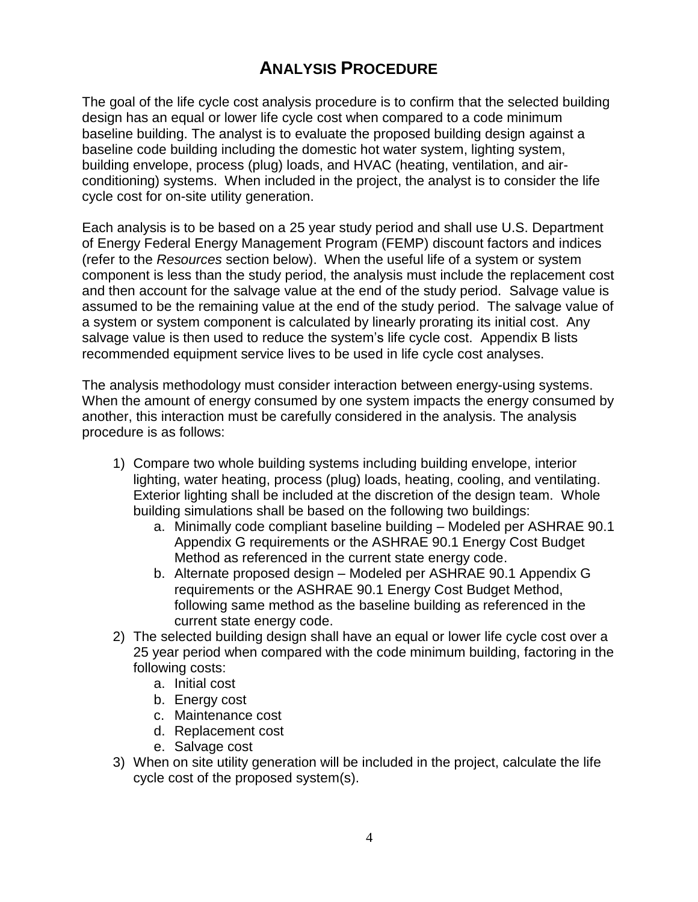## **ANALYSIS PROCEDURE**

The goal of the life cycle cost analysis procedure is to confirm that the selected building design has an equal or lower life cycle cost when compared to a code minimum baseline building. The analyst is to evaluate the proposed building design against a baseline code building including the domestic hot water system, lighting system, building envelope, process (plug) loads, and HVAC (heating, ventilation, and airconditioning) systems. When included in the project, the analyst is to consider the life cycle cost for on-site utility generation.

Each analysis is to be based on a 25 year study period and shall use U.S. Department of Energy Federal Energy Management Program (FEMP) discount factors and indices (refer to the *Resources* section below). When the useful life of a system or system component is less than the study period, the analysis must include the replacement cost and then account for the salvage value at the end of the study period. Salvage value is assumed to be the remaining value at the end of the study period. The salvage value of a system or system component is calculated by linearly prorating its initial cost. Any salvage value is then used to reduce the system's life cycle cost. Appendix B lists recommended equipment service lives to be used in life cycle cost analyses.

The analysis methodology must consider interaction between energy-using systems. When the amount of energy consumed by one system impacts the energy consumed by another, this interaction must be carefully considered in the analysis. The analysis procedure is as follows:

- 1) Compare two whole building systems including building envelope, interior lighting, water heating, process (plug) loads, heating, cooling, and ventilating. Exterior lighting shall be included at the discretion of the design team. Whole building simulations shall be based on the following two buildings:
	- a. Minimally code compliant baseline building Modeled per ASHRAE 90.1 Appendix G requirements or the ASHRAE 90.1 Energy Cost Budget Method as referenced in the current state energy code.
	- b. Alternate proposed design Modeled per ASHRAE 90.1 Appendix G requirements or the ASHRAE 90.1 Energy Cost Budget Method, following same method as the baseline building as referenced in the current state energy code.
- 2) The selected building design shall have an equal or lower life cycle cost over a 25 year period when compared with the code minimum building, factoring in the following costs:
	- a. Initial cost
	- b. Energy cost
	- c. Maintenance cost
	- d. Replacement cost
	- e. Salvage cost
- 3) When on site utility generation will be included in the project, calculate the life cycle cost of the proposed system(s).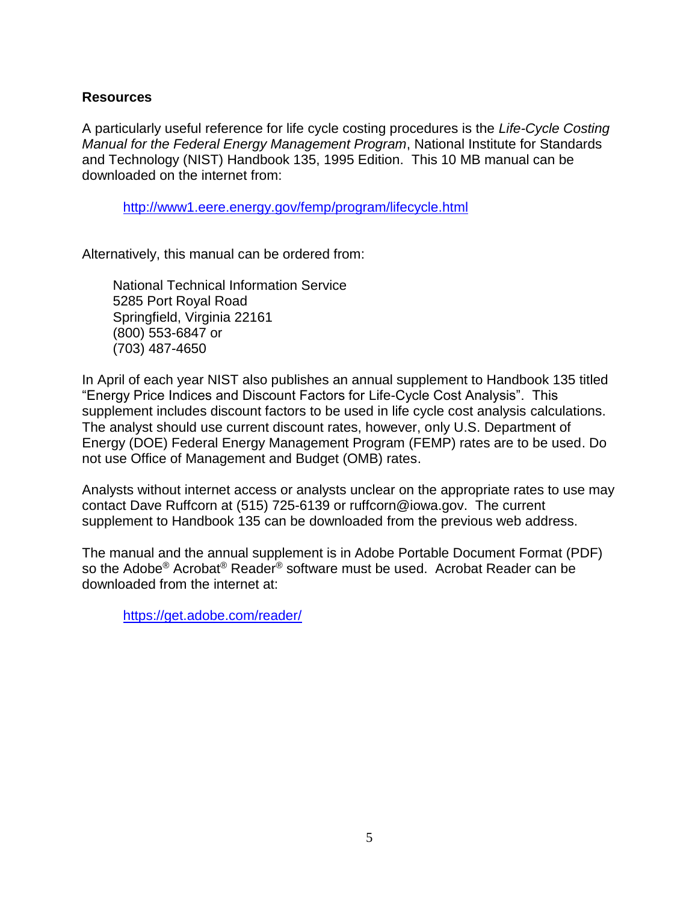#### **Resources**

A particularly useful reference for life cycle costing procedures is the *Life-Cycle Costing Manual for the Federal Energy Management Program*, National Institute for Standards and Technology (NIST) Handbook 135, 1995 Edition. This 10 MB manual can be downloaded on the internet from:

<http://www1.eere.energy.gov/femp/program/lifecycle.html>

Alternatively, this manual can be ordered from:

National Technical Information Service 5285 Port Royal Road Springfield, Virginia 22161 (800) 553-6847 or (703) 487-4650

In April of each year NIST also publishes an annual supplement to Handbook 135 titled "Energy Price Indices and Discount Factors for Life-Cycle Cost Analysis". This supplement includes discount factors to be used in life cycle cost analysis calculations. The analyst should use current discount rates, however, only U.S. Department of Energy (DOE) Federal Energy Management Program (FEMP) rates are to be used. Do not use Office of Management and Budget (OMB) rates.

Analysts without internet access or analysts unclear on the appropriate rates to use may contact Dave Ruffcorn at (515) 725-6139 or ruffcorn@iowa.gov. The current supplement to Handbook 135 can be downloaded from the previous web address.

The manual and the annual supplement is in Adobe Portable Document Format (PDF) so the Adobe® Acrobat® Reader® software must be used. Acrobat Reader can be downloaded from the internet at:

<https://get.adobe.com/reader/>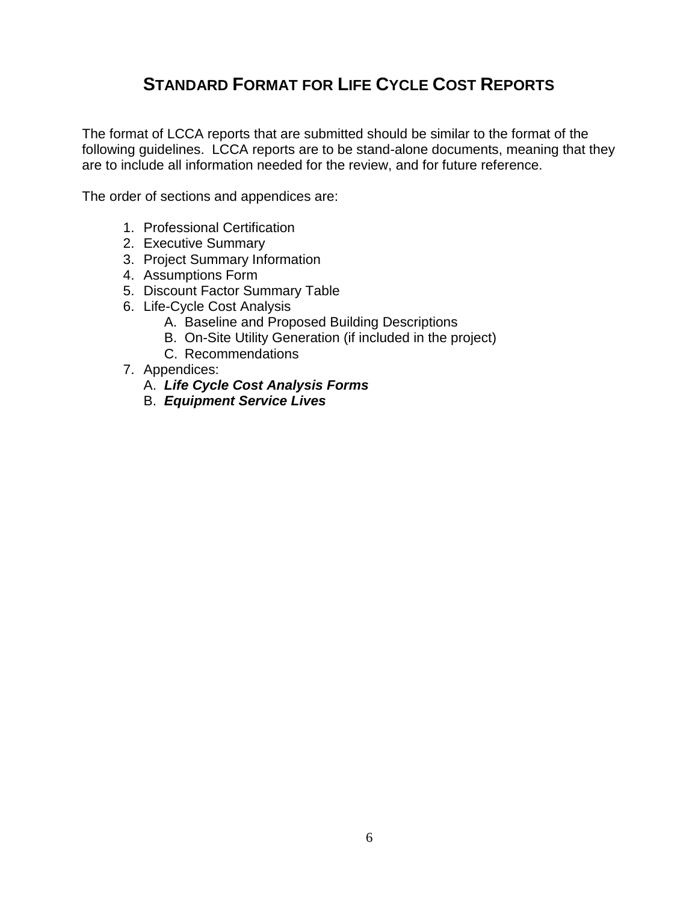## **STANDARD FORMAT FOR LIFE CYCLE COST REPORTS**

The format of LCCA reports that are submitted should be similar to the format of the following guidelines. LCCA reports are to be stand-alone documents, meaning that they are to include all information needed for the review, and for future reference.

The order of sections and appendices are:

- 1. Professional Certification
- 2. Executive Summary
- 3. Project Summary Information
- 4. Assumptions Form
- 5. Discount Factor Summary Table
- 6. Life-Cycle Cost Analysis
	- A. Baseline and Proposed Building Descriptions
	- B. On-Site Utility Generation (if included in the project)
	- C. Recommendations
- 7. Appendices:
	- A. *Life Cycle Cost Analysis Forms*
	- B. *Equipment Service Lives*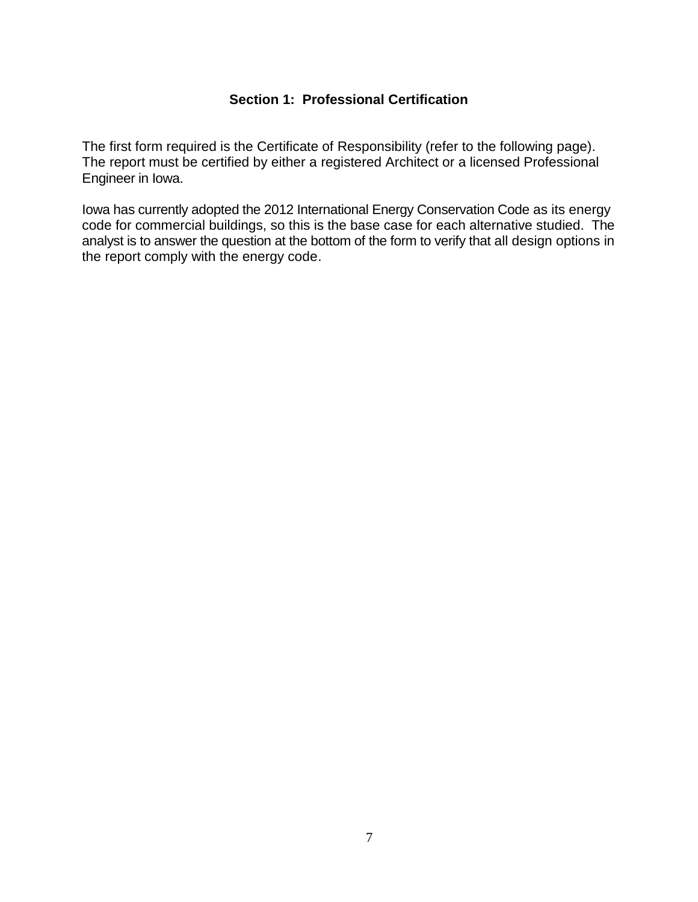#### **Section 1: Professional Certification**

The first form required is the Certificate of Responsibility (refer to the following page). The report must be certified by either a registered Architect or a licensed Professional Engineer in Iowa.

Iowa has currently adopted the 2012 International Energy Conservation Code as its energy code for commercial buildings, so this is the base case for each alternative studied. The analyst is to answer the question at the bottom of the form to verify that all design options in the report comply with the energy code.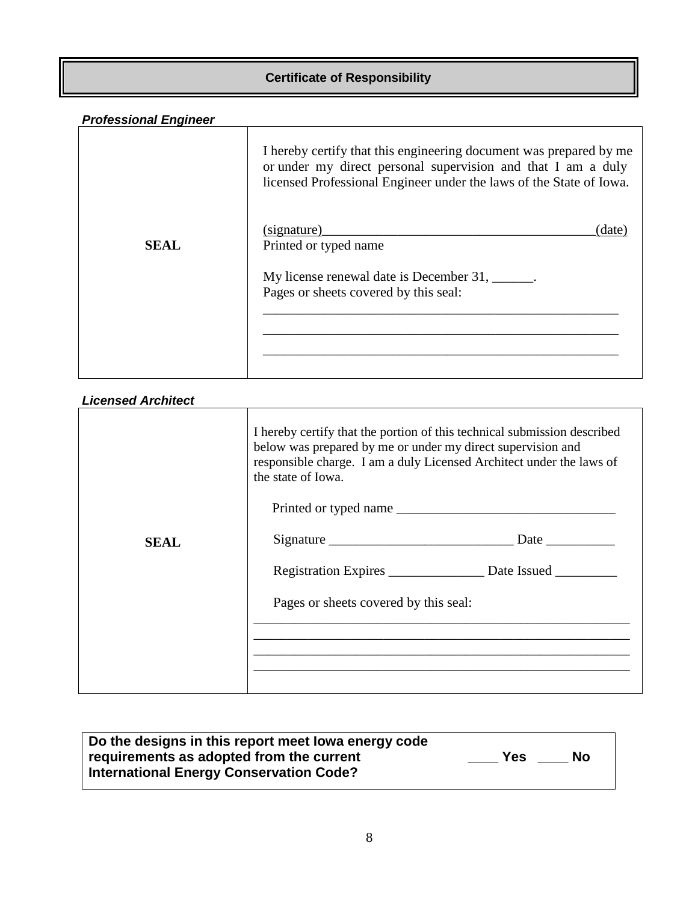#### **Certificate of Responsibility**

#### *Professional Engineer*

| I hereby certify that this engineering document was prepared by me<br>or under my direct personal supervision and that I am a duly<br>licensed Professional Engineer under the laws of the State of Iowa. |
|-----------------------------------------------------------------------------------------------------------------------------------------------------------------------------------------------------------|
| (signature)<br>(date)<br>Printed or typed name                                                                                                                                                            |
| My license renewal date is December 31, ______.<br>Pages or sheets covered by this seal:                                                                                                                  |
|                                                                                                                                                                                                           |

| <b>Licensed Architect</b> |                                                                                                                                                                                                                                                                |  |
|---------------------------|----------------------------------------------------------------------------------------------------------------------------------------------------------------------------------------------------------------------------------------------------------------|--|
| <b>SEAL</b>               | I hereby certify that the portion of this technical submission described<br>below was prepared by me or under my direct supervision and<br>responsible charge. I am a duly Licensed Architect under the laws of<br>the state of Iowa.<br>Printed or typed name |  |
|                           | Registration Expires ____________________ Date Issued ___________________________<br>Pages or sheets covered by this seal:                                                                                                                                     |  |

| Do the designs in this report meet lowa energy code                                        |                  |
|--------------------------------------------------------------------------------------------|------------------|
| requirements as adopted from the current<br><b>International Energy Conservation Code?</b> | No<br><b>Yes</b> |
|                                                                                            |                  |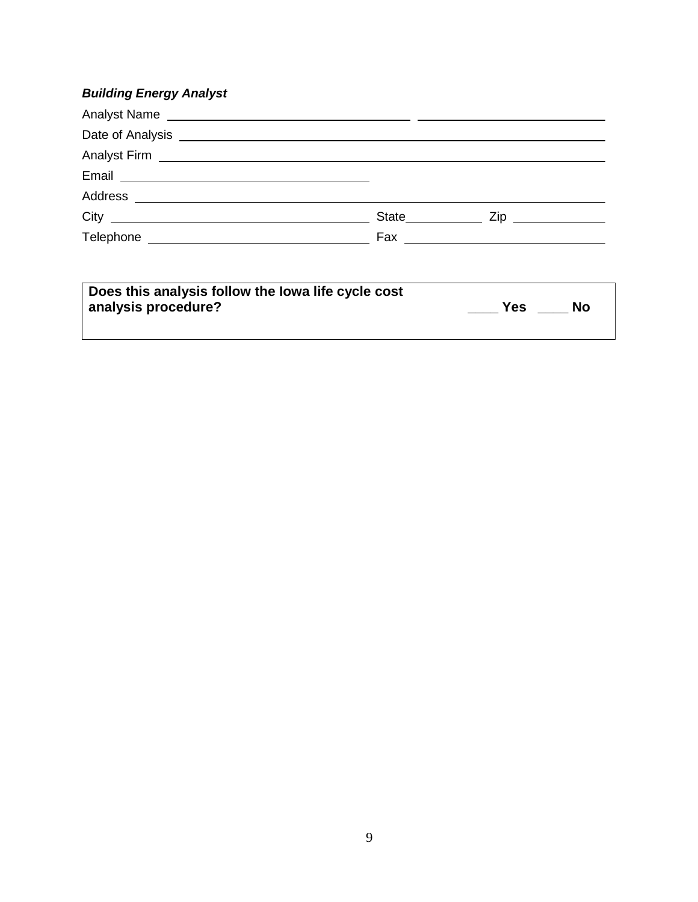## *Building Energy Analyst*

| City Lawrence and the contract of the contract of the contract of the contract of the contract of the contract of the contract of the contract of the contract of the contract of the contract of the contract of the contract | <b>State State</b> | $\mathsf{Zip}$ |  |
|--------------------------------------------------------------------------------------------------------------------------------------------------------------------------------------------------------------------------------|--------------------|----------------|--|
|                                                                                                                                                                                                                                |                    |                |  |
|                                                                                                                                                                                                                                |                    |                |  |
|                                                                                                                                                                                                                                |                    |                |  |

| Does this analysis follow the lowa life cycle cost |           |
|----------------------------------------------------|-----------|
| analysis procedure?                                | Yes<br>No |
|                                                    |           |
|                                                    |           |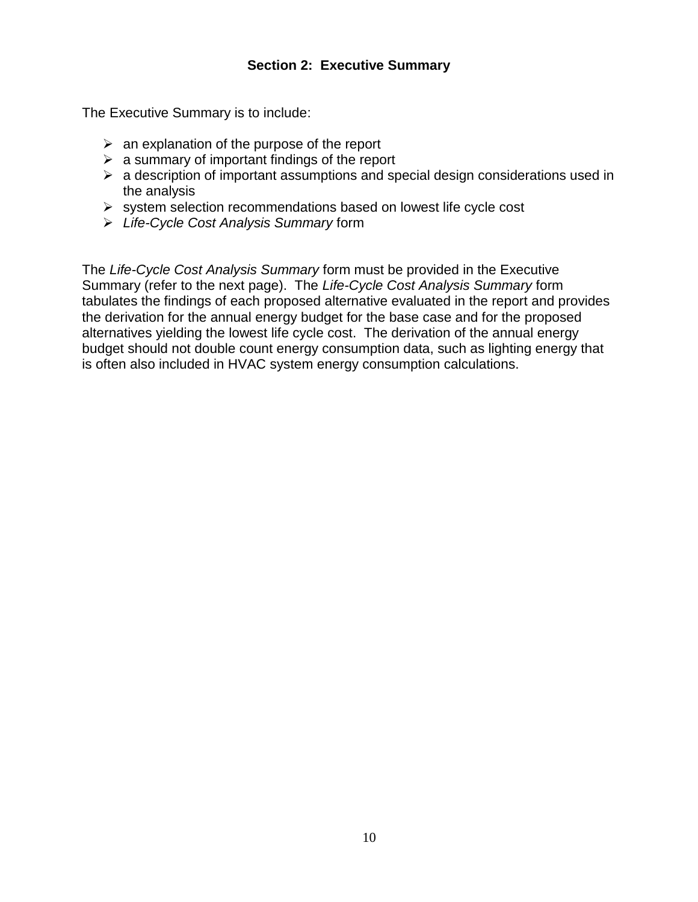#### **Section 2: Executive Summary**

The Executive Summary is to include:

- $\triangleright$  an explanation of the purpose of the report
- $\triangleright$  a summary of important findings of the report
- $\triangleright$  a description of important assumptions and special design considerations used in the analysis
- ➢ system selection recommendations based on lowest life cycle cost
- ➢ *Life-Cycle Cost Analysis Summary* form

The *Life-Cycle Cost Analysis Summary* form must be provided in the Executive Summary (refer to the next page). The *Life-Cycle Cost Analysis Summary* form tabulates the findings of each proposed alternative evaluated in the report and provides the derivation for the annual energy budget for the base case and for the proposed alternatives yielding the lowest life cycle cost. The derivation of the annual energy budget should not double count energy consumption data, such as lighting energy that is often also included in HVAC system energy consumption calculations.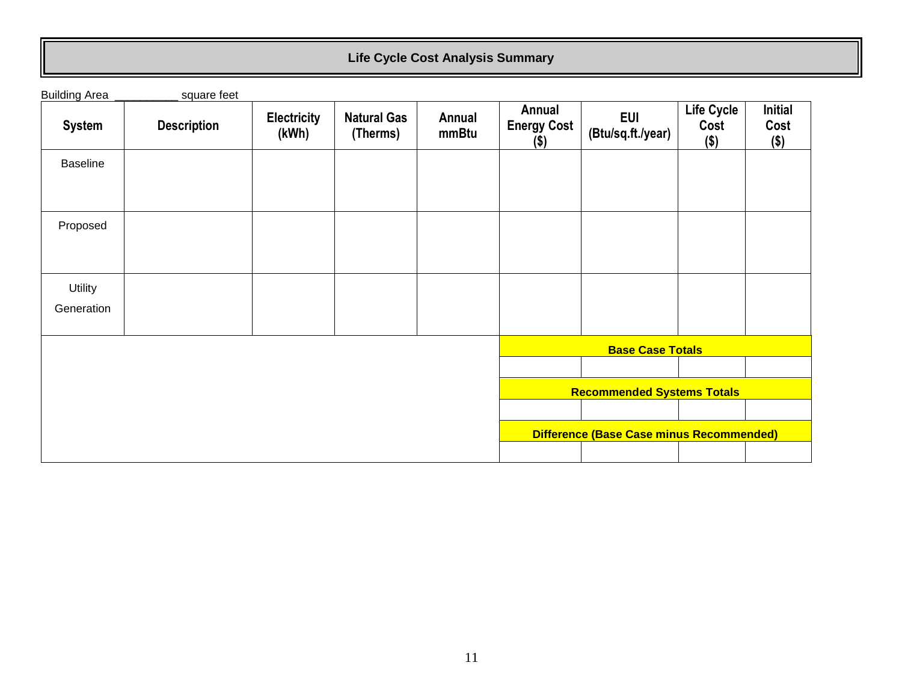## **Life Cycle Cost Analysis Summary**

| <b>Building Area</b> | square feet        |                             |                                |                 |                                         |                                                 |                                      |                               |
|----------------------|--------------------|-----------------------------|--------------------------------|-----------------|-----------------------------------------|-------------------------------------------------|--------------------------------------|-------------------------------|
| <b>System</b>        | <b>Description</b> | <b>Electricity</b><br>(kWh) | <b>Natural Gas</b><br>(Therms) | Annual<br>mmBtu | Annual<br><b>Energy Cost</b><br>$($ \$) | <b>EUI</b><br>(Btu/sq.ft./year)                 | <b>Life Cycle</b><br>Cost<br>$($ \$) | <b>Initial</b><br>Cost<br>\$) |
| <b>Baseline</b>      |                    |                             |                                |                 |                                         |                                                 |                                      |                               |
| Proposed             |                    |                             |                                |                 |                                         |                                                 |                                      |                               |
| Utility              |                    |                             |                                |                 |                                         |                                                 |                                      |                               |
| Generation           |                    |                             |                                |                 |                                         |                                                 |                                      |                               |
|                      |                    |                             |                                |                 |                                         | <b>Base Case Totals</b>                         |                                      |                               |
|                      |                    |                             |                                |                 |                                         |                                                 |                                      |                               |
|                      |                    |                             |                                |                 |                                         | <b>Recommended Systems Totals</b>               |                                      |                               |
|                      |                    |                             |                                |                 |                                         |                                                 |                                      |                               |
|                      |                    |                             |                                |                 |                                         | <b>Difference (Base Case minus Recommended)</b> |                                      |                               |
|                      |                    |                             |                                |                 |                                         |                                                 |                                      |                               |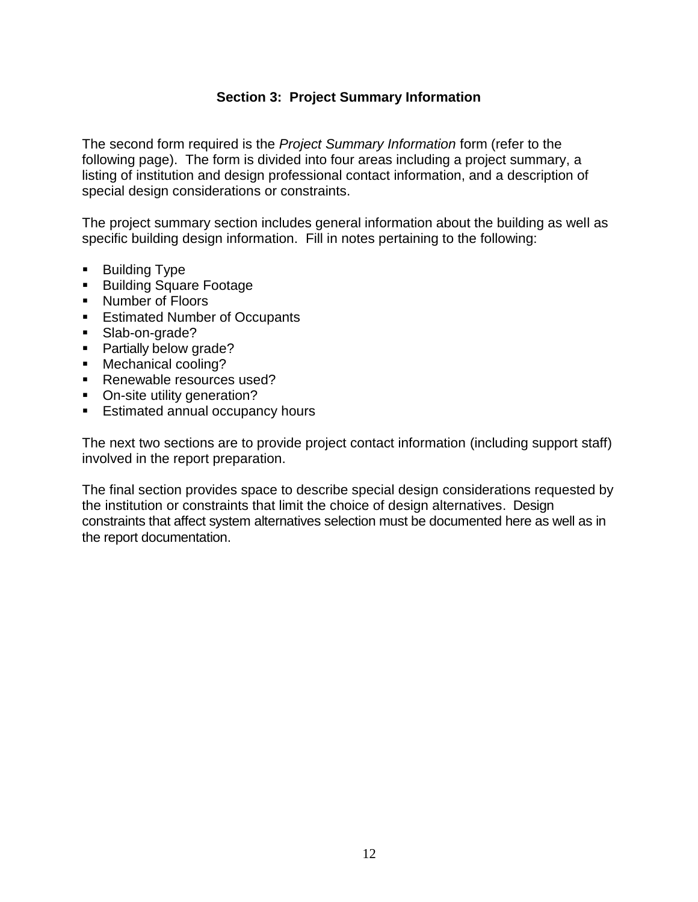#### **Section 3: Project Summary Information**

The second form required is the *Project Summary Information* form (refer to the following page). The form is divided into four areas including a project summary, a listing of institution and design professional contact information, and a description of special design considerations or constraints.

The project summary section includes general information about the building as well as specific building design information. Fill in notes pertaining to the following:

- Building Type
- Building Square Footage
- Number of Floors
- Estimated Number of Occupants
- Slab-on-grade?
- Partially below grade?
- Mechanical cooling?
- Renewable resources used?
- On-site utility generation?
- Estimated annual occupancy hours

The next two sections are to provide project contact information (including support staff) involved in the report preparation.

The final section provides space to describe special design considerations requested by the institution or constraints that limit the choice of design alternatives. Design constraints that affect system alternatives selection must be documented here as well as in the report documentation.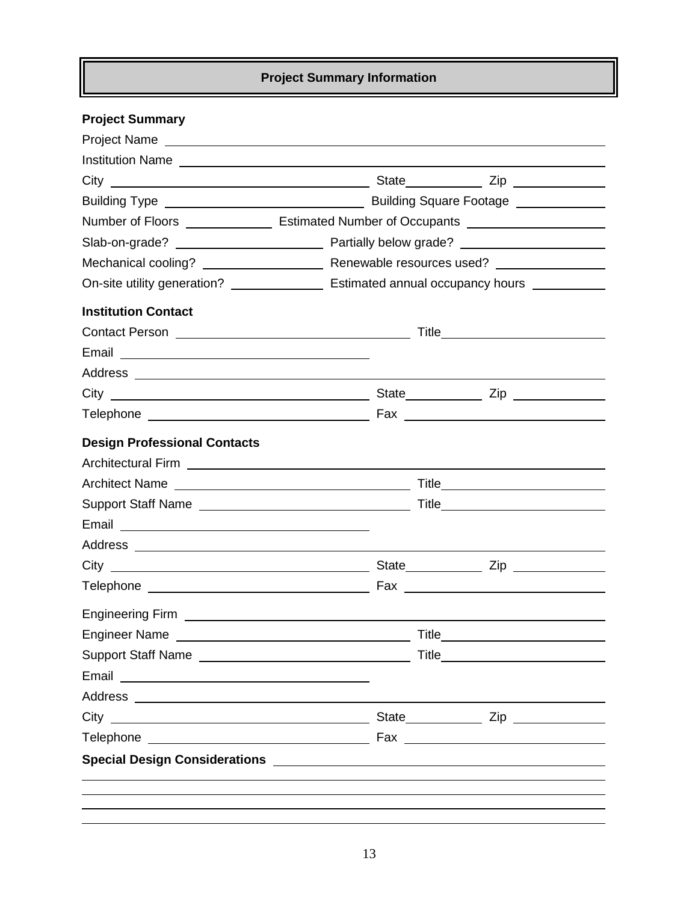## **Project Summary Information**

| <b>Project Summary</b>                                                                     |  |
|--------------------------------------------------------------------------------------------|--|
|                                                                                            |  |
|                                                                                            |  |
|                                                                                            |  |
|                                                                                            |  |
| Number of Floors _____________________Estimated Number of Occupants _____________          |  |
| Slab-on-grade? Partially below grade?                                                      |  |
|                                                                                            |  |
| On-site utility generation? _________________ Estimated annual occupancy hours ___________ |  |
| <b>Institution Contact</b>                                                                 |  |
|                                                                                            |  |
|                                                                                            |  |
|                                                                                            |  |
|                                                                                            |  |
|                                                                                            |  |
| <b>Design Professional Contacts</b>                                                        |  |
|                                                                                            |  |
|                                                                                            |  |
|                                                                                            |  |
|                                                                                            |  |
|                                                                                            |  |
|                                                                                            |  |
|                                                                                            |  |
|                                                                                            |  |
|                                                                                            |  |
|                                                                                            |  |
|                                                                                            |  |
|                                                                                            |  |
|                                                                                            |  |
|                                                                                            |  |
|                                                                                            |  |
|                                                                                            |  |
|                                                                                            |  |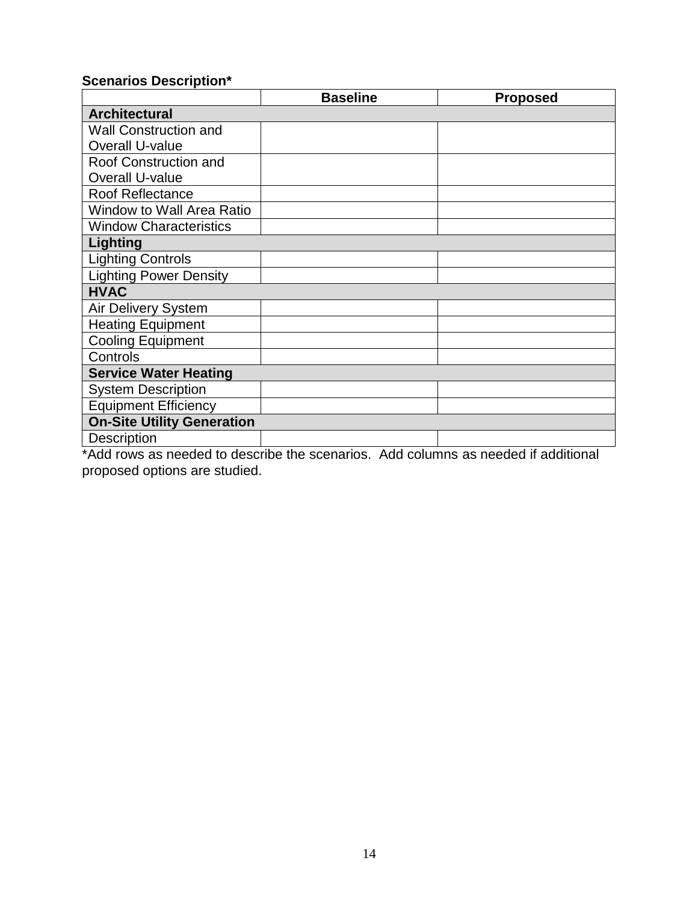#### **Scenarios Description\***

|                                   | <b>Baseline</b> | <b>Proposed</b> |
|-----------------------------------|-----------------|-----------------|
| <b>Architectural</b>              |                 |                 |
| <b>Wall Construction and</b>      |                 |                 |
| Overall U-value                   |                 |                 |
| Roof Construction and             |                 |                 |
| Overall U-value                   |                 |                 |
| <b>Roof Reflectance</b>           |                 |                 |
| Window to Wall Area Ratio         |                 |                 |
| <b>Window Characteristics</b>     |                 |                 |
| Lighting                          |                 |                 |
| <b>Lighting Controls</b>          |                 |                 |
| <b>Lighting Power Density</b>     |                 |                 |
| <b>HVAC</b>                       |                 |                 |
| <b>Air Delivery System</b>        |                 |                 |
| <b>Heating Equipment</b>          |                 |                 |
| <b>Cooling Equipment</b>          |                 |                 |
| Controls                          |                 |                 |
| <b>Service Water Heating</b>      |                 |                 |
| <b>System Description</b>         |                 |                 |
| <b>Equipment Efficiency</b>       |                 |                 |
| <b>On-Site Utility Generation</b> |                 |                 |
| Description                       |                 |                 |

\*Add rows as needed to describe the scenarios. Add columns as needed if additional proposed options are studied.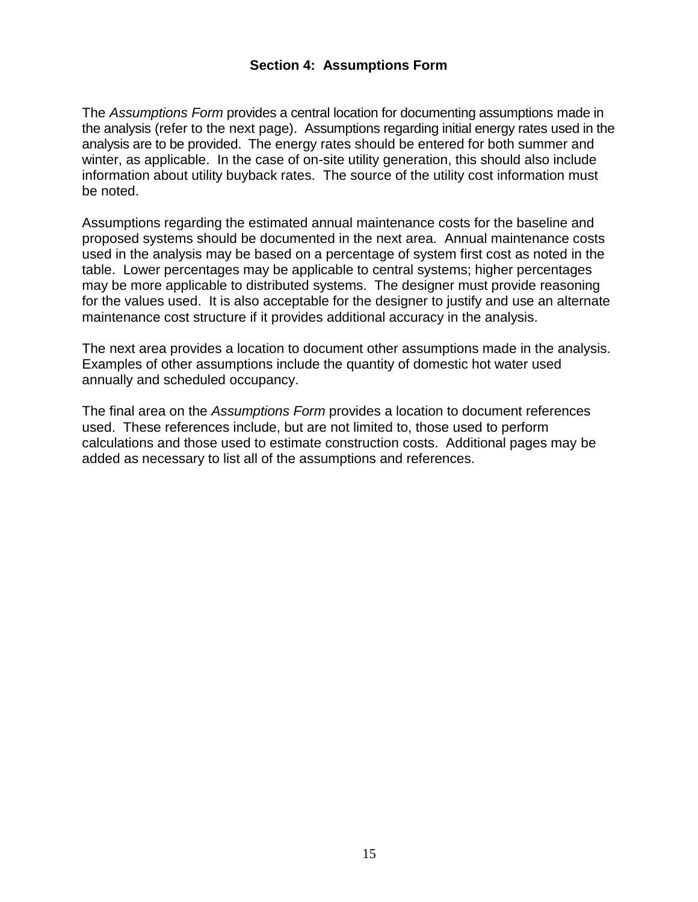#### **Section 4: Assumptions Form**

The *Assumptions Form* provides a central location for documenting assumptions made in the analysis (refer to the next page). Assumptions regarding initial energy rates used in the analysis are to be provided. The energy rates should be entered for both summer and winter, as applicable. In the case of on-site utility generation, this should also include information about utility buyback rates. The source of the utility cost information must be noted.

Assumptions regarding the estimated annual maintenance costs for the baseline and proposed systems should be documented in the next area. Annual maintenance costs used in the analysis may be based on a percentage of system first cost as noted in the table. Lower percentages may be applicable to central systems; higher percentages may be more applicable to distributed systems. The designer must provide reasoning for the values used. It is also acceptable for the designer to justify and use an alternate maintenance cost structure if it provides additional accuracy in the analysis.

The next area provides a location to document other assumptions made in the analysis. Examples of other assumptions include the quantity of domestic hot water used annually and scheduled occupancy.

The final area on the *Assumptions Form* provides a location to document references used. These references include, but are not limited to, those used to perform calculations and those used to estimate construction costs. Additional pages may be added as necessary to list all of the assumptions and references.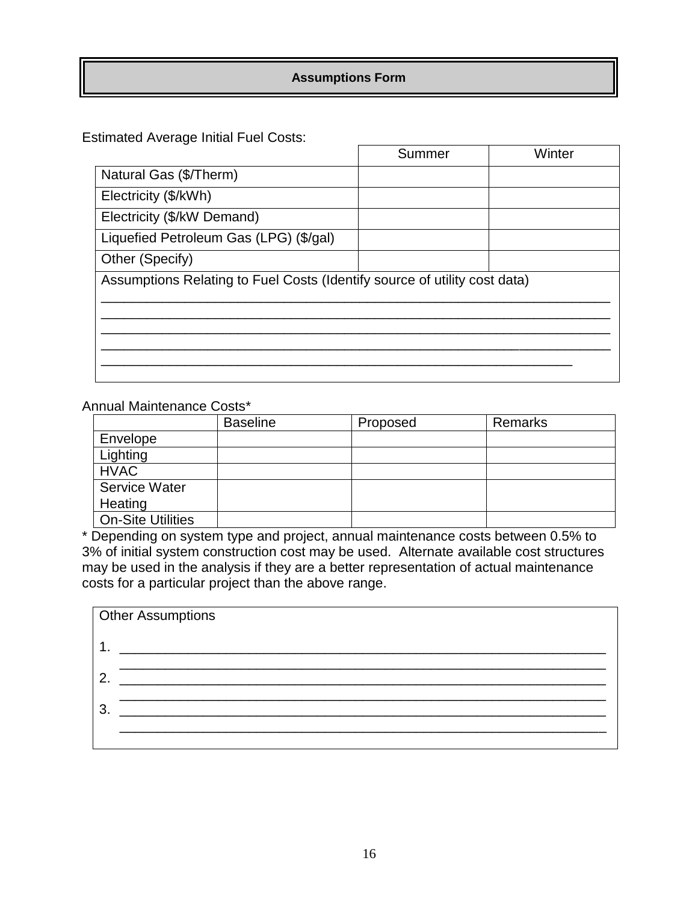#### **Assumptions Form**

Estimated Average Initial Fuel Costs:

|                                                                           | Summer | Winter |
|---------------------------------------------------------------------------|--------|--------|
| Natural Gas (\$/Therm)                                                    |        |        |
| Electricity (\$/kWh)                                                      |        |        |
| Electricity (\$/kW Demand)                                                |        |        |
| Liquefied Petroleum Gas (LPG) (\$/gal)                                    |        |        |
| Other (Specify)                                                           |        |        |
| Assumptions Relating to Fuel Costs (Identify source of utility cost data) |        |        |
|                                                                           |        |        |
|                                                                           |        |        |
|                                                                           |        |        |
|                                                                           |        |        |

Annual Maintenance Costs\*

|                          | <b>Baseline</b> | Proposed | <b>Remarks</b> |
|--------------------------|-----------------|----------|----------------|
| Envelope                 |                 |          |                |
| Lighting                 |                 |          |                |
| <b>HVAC</b>              |                 |          |                |
| <b>Service Water</b>     |                 |          |                |
| Heating                  |                 |          |                |
| <b>On-Site Utilities</b> |                 |          |                |

\* Depending on system type and project, annual maintenance costs between 0.5% to 3% of initial system construction cost may be used. Alternate available cost structures may be used in the analysis if they are a better representation of actual maintenance costs for a particular project than the above range.

|   | Other Assumptions |
|---|-------------------|
|   |                   |
| າ |                   |
|   |                   |
| 3 |                   |
|   |                   |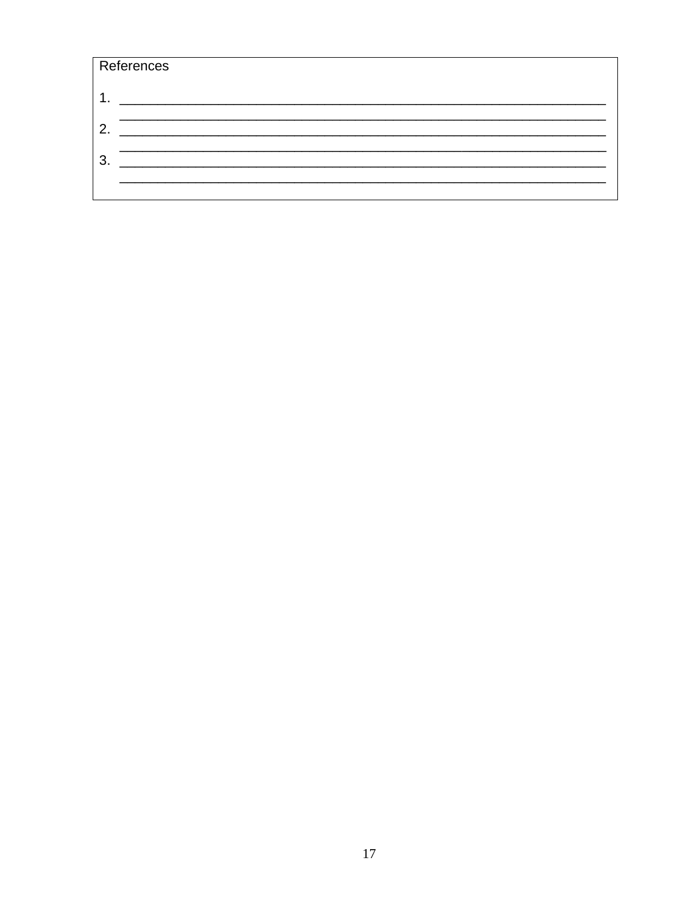|                  | References |  |  |  |  |
|------------------|------------|--|--|--|--|
| 1.               |            |  |  |  |  |
|                  |            |  |  |  |  |
| $\overline{2}$ . |            |  |  |  |  |
| 3.               |            |  |  |  |  |
|                  |            |  |  |  |  |
|                  |            |  |  |  |  |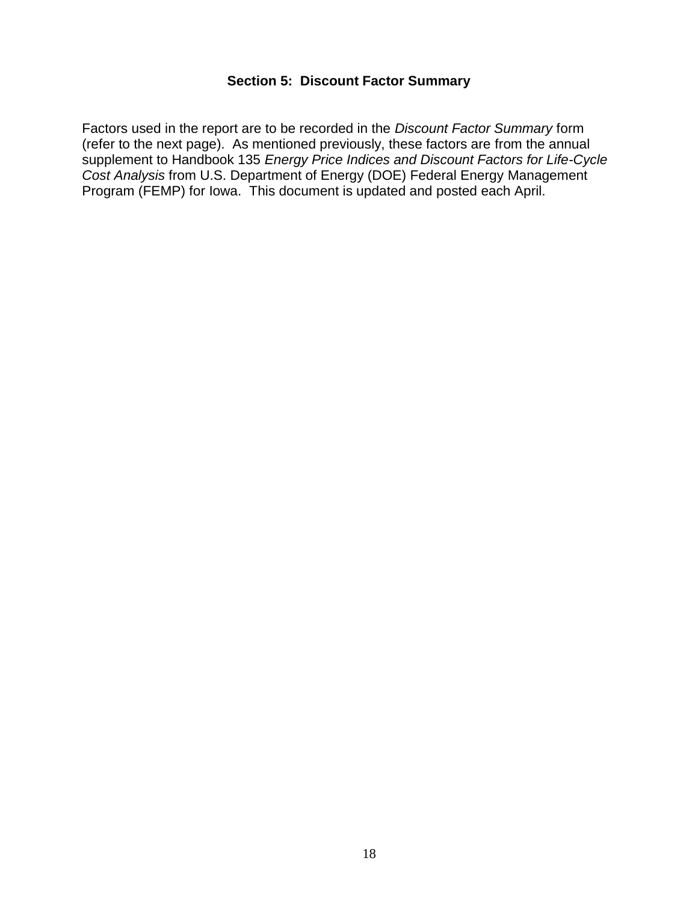#### **Section 5: Discount Factor Summary**

Factors used in the report are to be recorded in the *Discount Factor Summary* form (refer to the next page). As mentioned previously, these factors are from the annual supplement to Handbook 135 *Energy Price Indices and Discount Factors for Life-Cycle Cost Analysis* from U.S. Department of Energy (DOE) Federal Energy Management Program (FEMP) for Iowa. This document is updated and posted each April.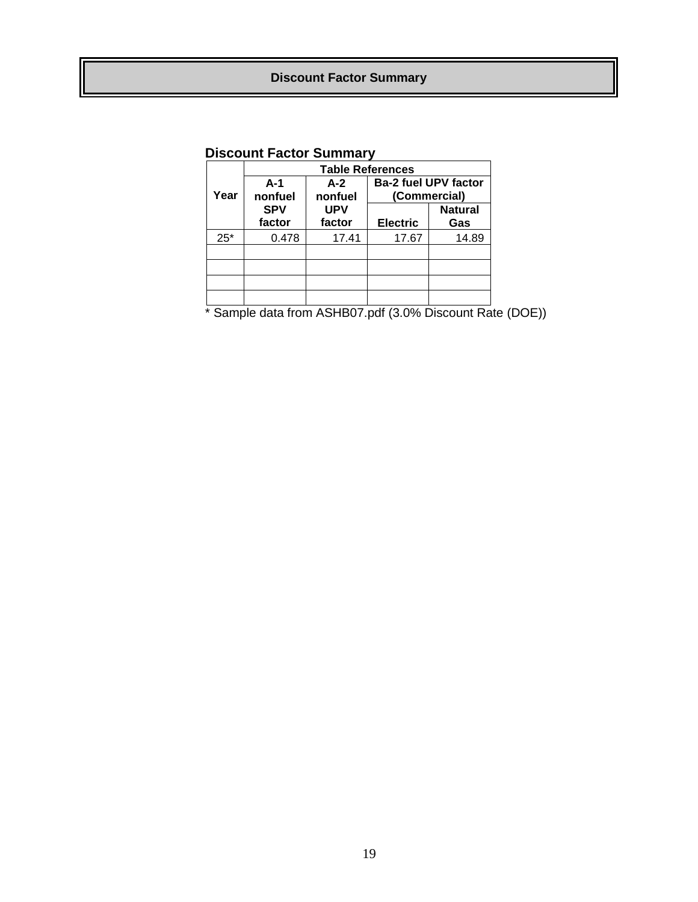#### **Discount Factor Summary**

## **Discount Factor Summary**

|       | <b>Table References</b> |                      |                                             |                       |  |  |  |
|-------|-------------------------|----------------------|---------------------------------------------|-----------------------|--|--|--|
| Year  | $A-1$<br>nonfuel        | $A-2$<br>nonfuel     | <b>Ba-2 fuel UPV factor</b><br>(Commercial) |                       |  |  |  |
|       | <b>SPV</b><br>factor    | <b>UPV</b><br>factor | <b>Electric</b>                             | <b>Natural</b><br>Gas |  |  |  |
| $25*$ | 0.478                   | 17.41                | 17.67                                       | 14.89                 |  |  |  |
|       |                         |                      |                                             |                       |  |  |  |
|       |                         |                      |                                             |                       |  |  |  |
|       |                         |                      |                                             |                       |  |  |  |
|       |                         |                      |                                             |                       |  |  |  |

\* Sample data from ASHB07.pdf (3.0% Discount Rate (DOE))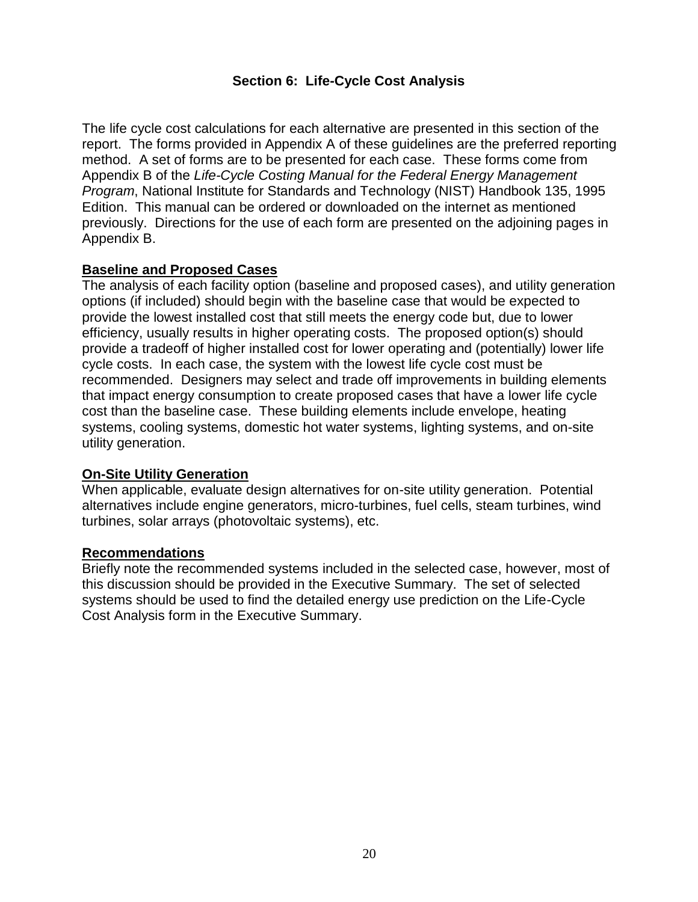#### **Section 6: Life-Cycle Cost Analysis**

The life cycle cost calculations for each alternative are presented in this section of the report. The forms provided in Appendix A of these guidelines are the preferred reporting method. A set of forms are to be presented for each case. These forms come from Appendix B of the *Life-Cycle Costing Manual for the Federal Energy Management Program*, National Institute for Standards and Technology (NIST) Handbook 135, 1995 Edition. This manual can be ordered or downloaded on the internet as mentioned previously. Directions for the use of each form are presented on the adjoining pages in Appendix B.

#### **Baseline and Proposed Cases**

The analysis of each facility option (baseline and proposed cases), and utility generation options (if included) should begin with the baseline case that would be expected to provide the lowest installed cost that still meets the energy code but, due to lower efficiency, usually results in higher operating costs. The proposed option(s) should provide a tradeoff of higher installed cost for lower operating and (potentially) lower life cycle costs. In each case, the system with the lowest life cycle cost must be recommended. Designers may select and trade off improvements in building elements that impact energy consumption to create proposed cases that have a lower life cycle cost than the baseline case. These building elements include envelope, heating systems, cooling systems, domestic hot water systems, lighting systems, and on-site utility generation.

#### **On-Site Utility Generation**

When applicable, evaluate design alternatives for on-site utility generation. Potential alternatives include engine generators, micro-turbines, fuel cells, steam turbines, wind turbines, solar arrays (photovoltaic systems), etc.

#### **Recommendations**

Briefly note the recommended systems included in the selected case, however, most of this discussion should be provided in the Executive Summary. The set of selected systems should be used to find the detailed energy use prediction on the Life-Cycle Cost Analysis form in the Executive Summary.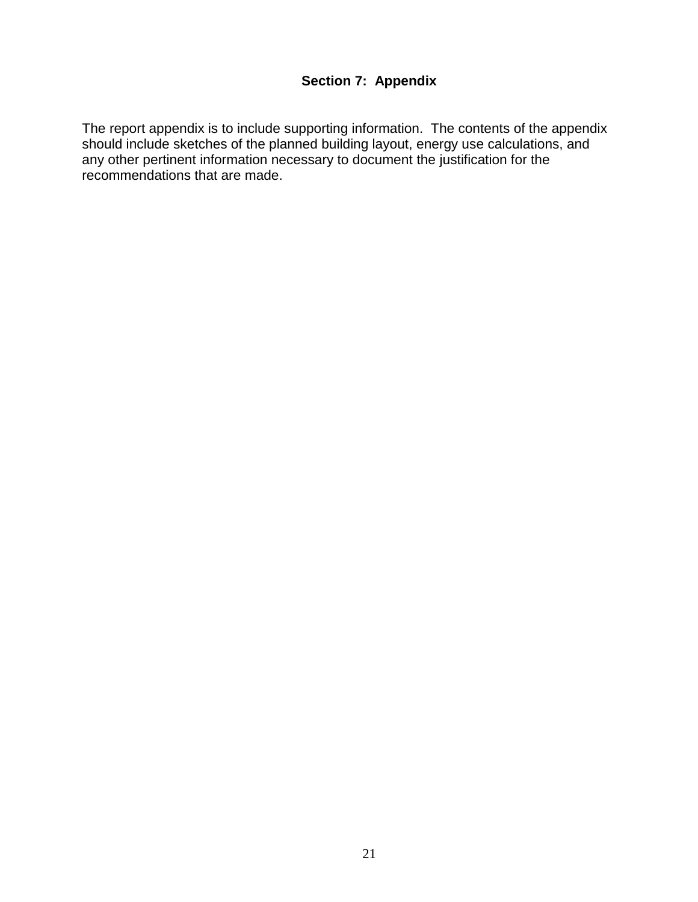#### **Section 7: Appendix**

The report appendix is to include supporting information. The contents of the appendix should include sketches of the planned building layout, energy use calculations, and any other pertinent information necessary to document the justification for the recommendations that are made.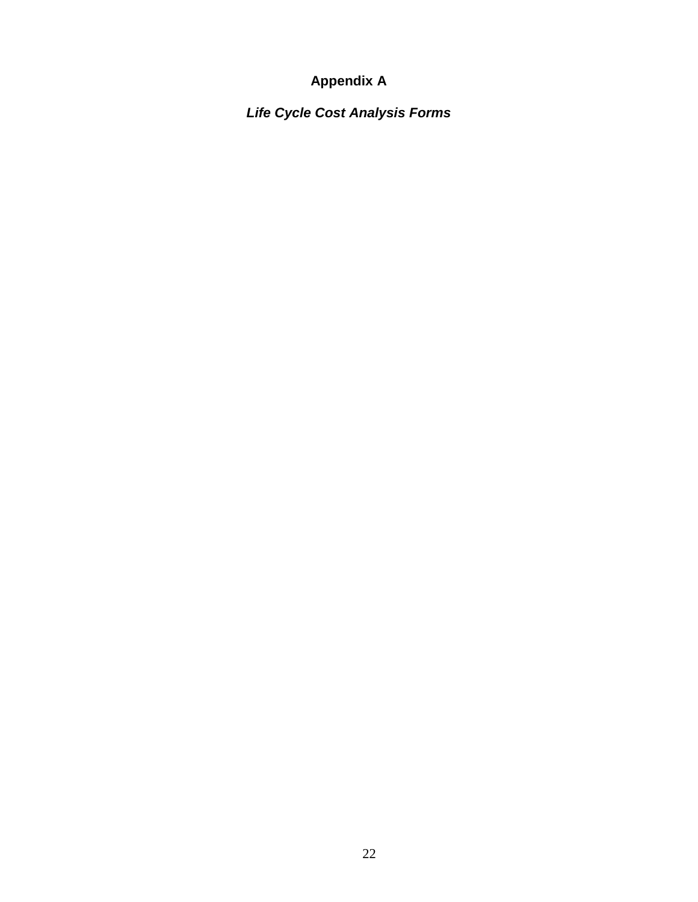## **Appendix A**

*Life Cycle Cost Analysis Forms*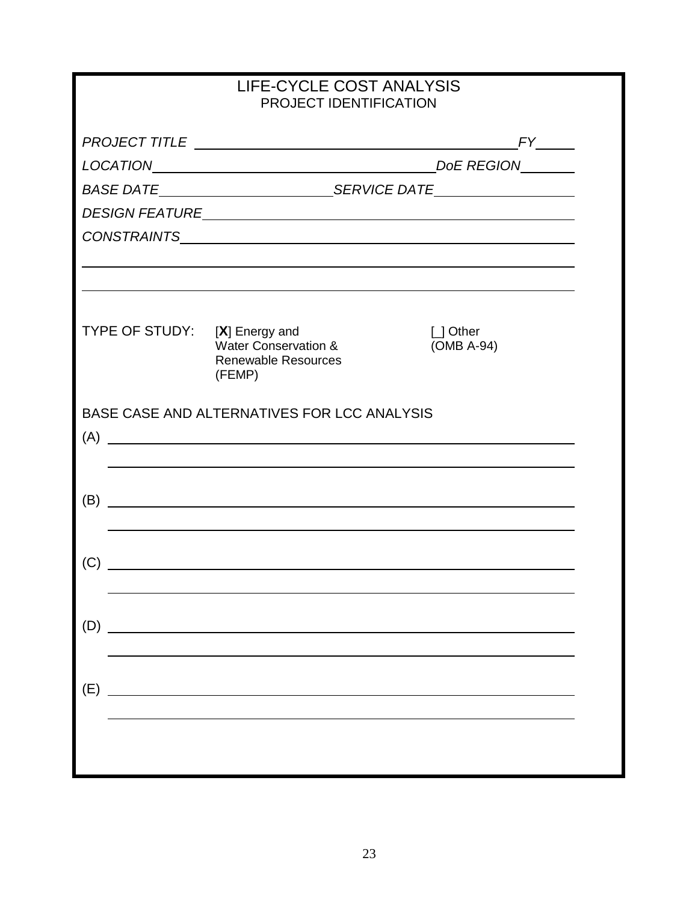| LIFE-CYCLE COST ANALYSIS<br>PROJECT IDENTIFICATION |                                                                                                                       |                            |  |
|----------------------------------------------------|-----------------------------------------------------------------------------------------------------------------------|----------------------------|--|
|                                                    |                                                                                                                       |                            |  |
|                                                    |                                                                                                                       |                            |  |
|                                                    |                                                                                                                       |                            |  |
|                                                    | DESIGN FEATURE                                                                                                        |                            |  |
|                                                    |                                                                                                                       |                            |  |
|                                                    |                                                                                                                       |                            |  |
| <b>TYPE OF STUDY:</b>                              | $[X]$ Energy and<br><b>Water Conservation &amp;</b><br><b>Renewable Resources</b><br>(FEMP)                           | $\Box$ Other<br>(OMB A-94) |  |
|                                                    | BASE CASE AND ALTERNATIVES FOR LCC ANALYSIS<br>(A)                                                                    |                            |  |
| (B)                                                | <u> 1980 - Jan Barbara Barat, martin da basar da basar da basar da basar da basar da basar da basar da basar da b</u> |                            |  |
| (C)                                                |                                                                                                                       |                            |  |
|                                                    |                                                                                                                       |                            |  |
|                                                    |                                                                                                                       |                            |  |
|                                                    |                                                                                                                       |                            |  |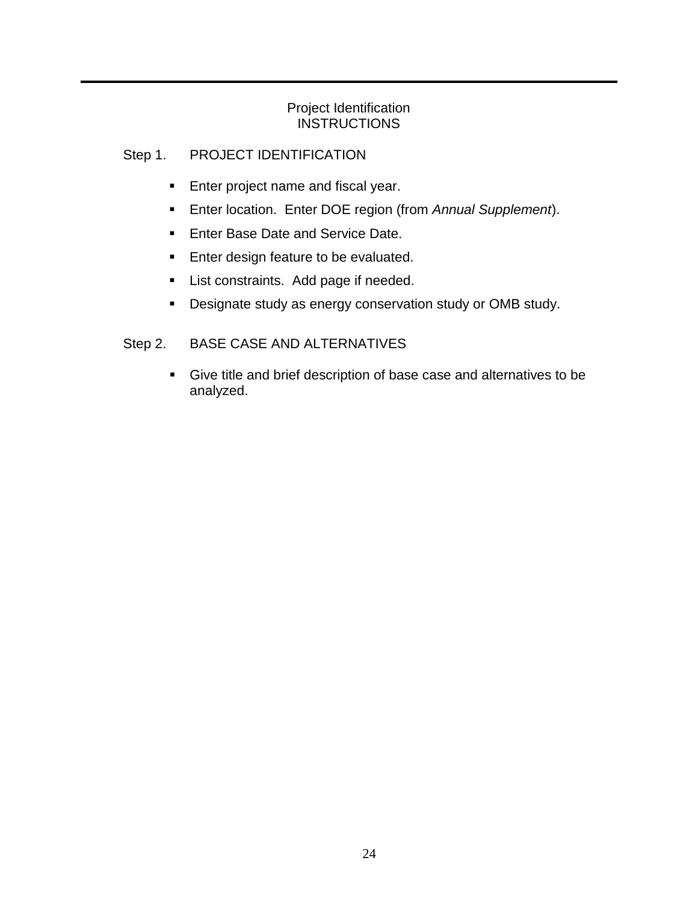#### Project Identification INSTRUCTIONS

Step 1. PROJECT IDENTIFICATION

- **Enter project name and fiscal year.**
- Enter location. Enter DOE region (from *Annual Supplement*).
- Enter Base Date and Service Date.
- **Enter design feature to be evaluated.**
- List constraints. Add page if needed.
- Designate study as energy conservation study or OMB study.

#### Step 2. BASE CASE AND ALTERNATIVES

▪ Give title and brief description of base case and alternatives to be analyzed.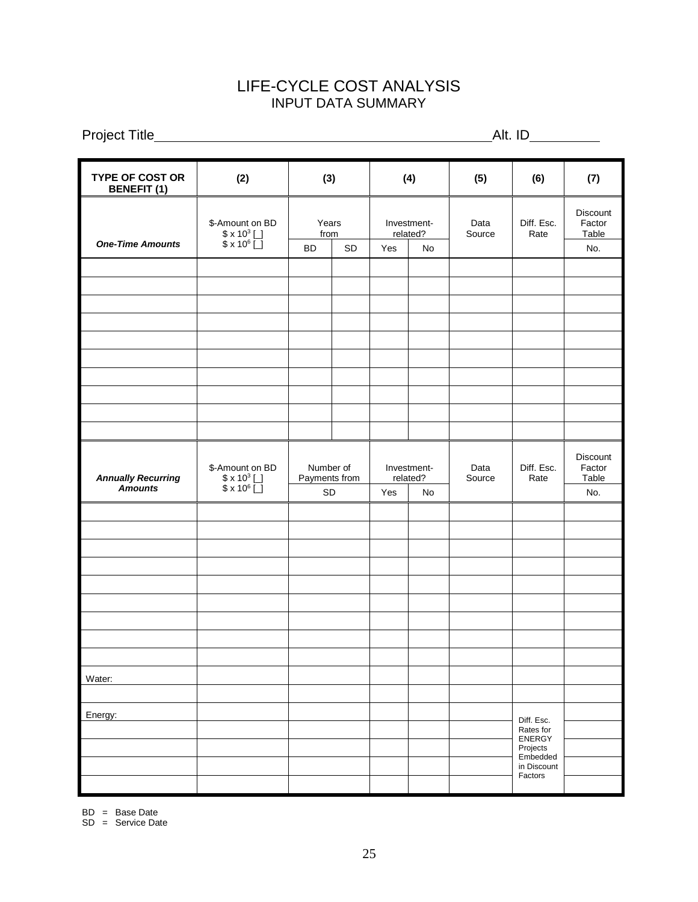## LIFE-CYCLE COST ANALYSIS INPUT DATA SUMMARY

Project Title Alt. ID

| <b>TYPE OF COST OR</b><br><b>BENEFIT (1)</b> | (2)                                                                                             |                                                                    | (3)<br>(4) |                         | (5)            | (6)                | (7)                                |                                    |
|----------------------------------------------|-------------------------------------------------------------------------------------------------|--------------------------------------------------------------------|------------|-------------------------|----------------|--------------------|------------------------------------|------------------------------------|
| <b>One-Time Amounts</b>                      | \$-Amount on BD<br>$$ \times 10^3 \left[ \right]$<br>$$ \times 10^6 \left[ \right]$             | Years<br>Investment-<br>from<br>related?<br>SD<br><b>BD</b><br>Yes |            | No                      | Data<br>Source | Diff. Esc.<br>Rate | Discount<br>Factor<br>Table<br>No. |                                    |
|                                              |                                                                                                 |                                                                    |            |                         |                |                    |                                    |                                    |
|                                              |                                                                                                 |                                                                    |            |                         |                |                    |                                    |                                    |
|                                              |                                                                                                 |                                                                    |            |                         |                |                    |                                    |                                    |
|                                              |                                                                                                 |                                                                    |            |                         |                |                    |                                    |                                    |
|                                              |                                                                                                 |                                                                    |            |                         |                |                    |                                    |                                    |
|                                              |                                                                                                 |                                                                    |            |                         |                |                    |                                    |                                    |
|                                              |                                                                                                 |                                                                    |            |                         |                |                    |                                    |                                    |
|                                              |                                                                                                 |                                                                    |            |                         |                |                    |                                    |                                    |
|                                              |                                                                                                 |                                                                    |            |                         |                |                    |                                    |                                    |
|                                              |                                                                                                 |                                                                    |            |                         |                |                    |                                    |                                    |
| <b>Annually Recurring</b>                    | \$-Amount on BD<br>$$ \times 10^3 \boxed{\phantom{0}}$$<br>$$ \times 10^6 \boxed{\phantom{0}}$$ | Number of<br>Payments from                                         |            | Investment-<br>related? |                | Data<br>Source     | Diff. Esc.<br>Rate                 | <b>Discount</b><br>Factor<br>Table |
| <b>Amounts</b>                               |                                                                                                 | SD                                                                 |            | Yes                     | No             |                    |                                    | No.                                |
|                                              |                                                                                                 |                                                                    |            |                         |                |                    |                                    |                                    |
|                                              |                                                                                                 |                                                                    |            |                         |                |                    |                                    |                                    |
|                                              |                                                                                                 |                                                                    |            |                         |                |                    |                                    |                                    |
|                                              |                                                                                                 |                                                                    |            |                         |                |                    |                                    |                                    |
|                                              |                                                                                                 |                                                                    |            |                         |                |                    |                                    |                                    |
|                                              |                                                                                                 |                                                                    |            |                         |                |                    |                                    |                                    |
|                                              |                                                                                                 |                                                                    |            |                         |                |                    |                                    |                                    |
|                                              |                                                                                                 |                                                                    |            |                         |                |                    |                                    |                                    |
| Water:                                       |                                                                                                 |                                                                    |            |                         |                |                    |                                    |                                    |
|                                              |                                                                                                 |                                                                    |            |                         |                |                    |                                    |                                    |
| Energy:                                      |                                                                                                 |                                                                    |            |                         |                |                    |                                    |                                    |
|                                              |                                                                                                 |                                                                    |            |                         |                |                    | Diff. Esc.<br>Rates for            |                                    |
|                                              |                                                                                                 |                                                                    |            |                         |                |                    | ENERGY<br>Projects<br>Embedded     |                                    |
|                                              |                                                                                                 |                                                                    |            |                         |                |                    | in Discount<br>Factors             |                                    |
|                                              |                                                                                                 |                                                                    |            |                         |                |                    |                                    |                                    |

BD = Base Date

SD = Service Date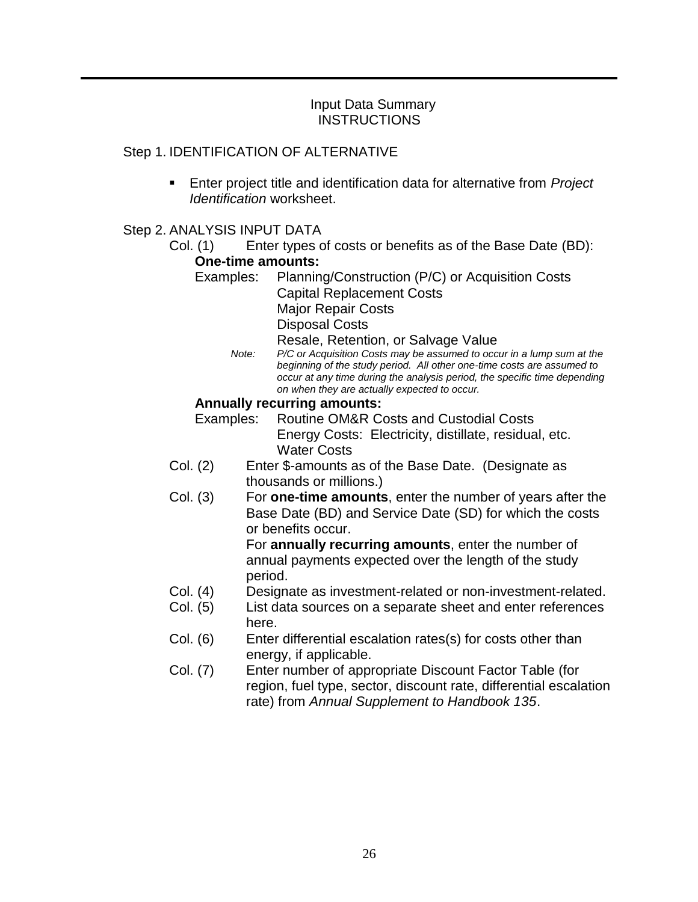#### Input Data Summary **INSTRUCTIONS**

#### Step 1. IDENTIFICATION OF ALTERNATIVE

■ Enter project title and identification data for alternative from *Project Identification* worksheet.

#### Step 2. ANALYSIS INPUT DATA

- Col. (1) Enter types of costs or benefits as of the Base Date (BD): **One-time amounts:**
	- Examples: Planning/Construction (P/C) or Acquisition Costs Capital Replacement Costs Major Repair Costs Disposal Costs Resale, Retention, or Salvage Value
		- *Note: P/C or Acquisition Costs may be assumed to occur in a lump sum at the beginning of the study period. All other one-time costs are assumed to occur at any time during the analysis period, the specific time depending on when they are actually expected to occur.*

#### **Annually recurring amounts:**

- Examples: Routine OM&R Costs and Custodial Costs Energy Costs: Electricity, distillate, residual, etc. Water Costs
- Col. (2) Enter \$-amounts as of the Base Date. (Designate as thousands or millions.)
- Col. (3) For **one-time amounts**, enter the number of years after the Base Date (BD) and Service Date (SD) for which the costs or benefits occur.

For **annually recurring amounts**, enter the number of annual payments expected over the length of the study period.

- Col. (4) Designate as investment-related or non-investment-related.
- Col. (5) List data sources on a separate sheet and enter references here.
- Col. (6) Enter differential escalation rates(s) for costs other than energy, if applicable.
- Col. (7) Enter number of appropriate Discount Factor Table (for region, fuel type, sector, discount rate, differential escalation rate) from *Annual Supplement to Handbook 135*.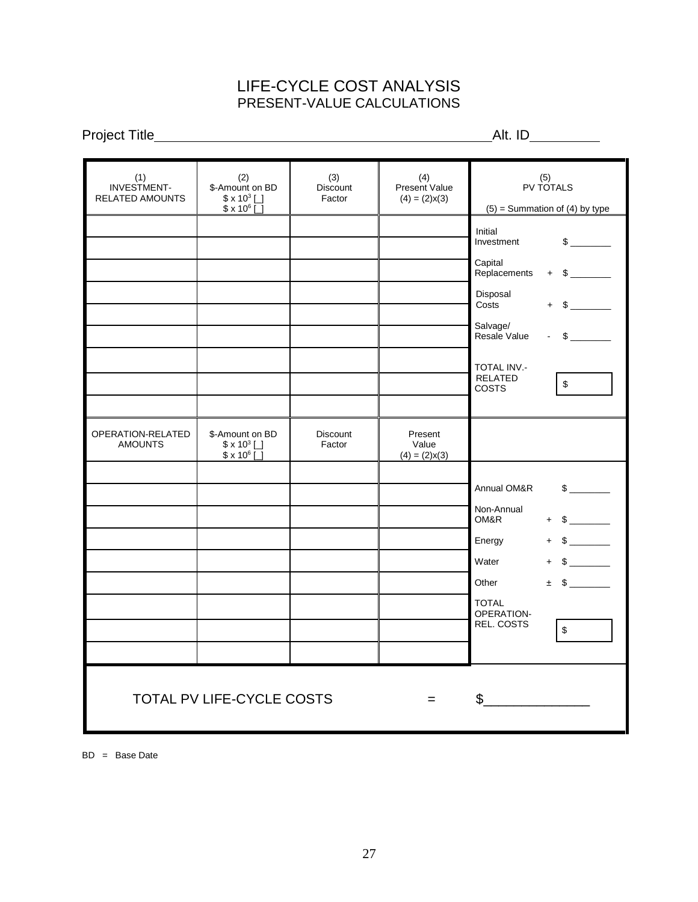### LIFE-CYCLE COST ANALYSIS PRESENT-VALUE CALCULATIONS

Project Title Alt. ID

| (1)<br>INVESTMENT-<br><b>RELATED AMOUNTS</b> | (2)<br>\$-Amount on BD<br>$$ \times 10^3$ [<br>$$ \times 10^6$ $\Box$ | (3)<br><b>Discount</b><br>Factor                        | (4)<br>Present Value<br>$(4) = (2)x(3)$ | (5)<br>PV TOTALS<br>$(5)$ = Summation of (4) by type                                                                                                                                                                                           |  |  |
|----------------------------------------------|-----------------------------------------------------------------------|---------------------------------------------------------|-----------------------------------------|------------------------------------------------------------------------------------------------------------------------------------------------------------------------------------------------------------------------------------------------|--|--|
|                                              |                                                                       |                                                         |                                         | Initial<br>$\frac{1}{2}$<br>Investment<br>Capital<br>$\frac{1}{2}$<br>Replacements<br>Disposal<br>$\frac{1}{2}$<br>Costs<br>Salvage/<br>$\frac{1}{2}$<br>Resale Value<br><b>TOTAL INV.-</b><br><b>RELATED</b><br>$\mathfrak s$<br><b>COSTS</b> |  |  |
| OPERATION-RELATED<br><b>AMOUNTS</b>          | \$-Amount on BD<br>$$ \times 10^3$ [<br>$$ \times 10^6$ [             | <b>Discount</b><br>Factor                               | Present<br>Value<br>$(4) = (2)x(3)$     |                                                                                                                                                                                                                                                |  |  |
|                                              |                                                                       |                                                         |                                         | $\frac{1}{2}$<br>Annual OM&R<br>Non-Annual<br>$\frac{1}{2}$<br>OM&R<br>$+$ \$<br>Energy<br>$\frac{1}{2}$<br>Water<br>$\pm$ \$<br>Other<br><b>TOTAL</b><br>OPERATION-<br>REL. COSTS<br>\$                                                       |  |  |
|                                              |                                                                       | <b>TOTAL PV LIFE-CYCLE COSTS</b><br>$\mathbb{S}$<br>$=$ |                                         |                                                                                                                                                                                                                                                |  |  |

BD = Base Date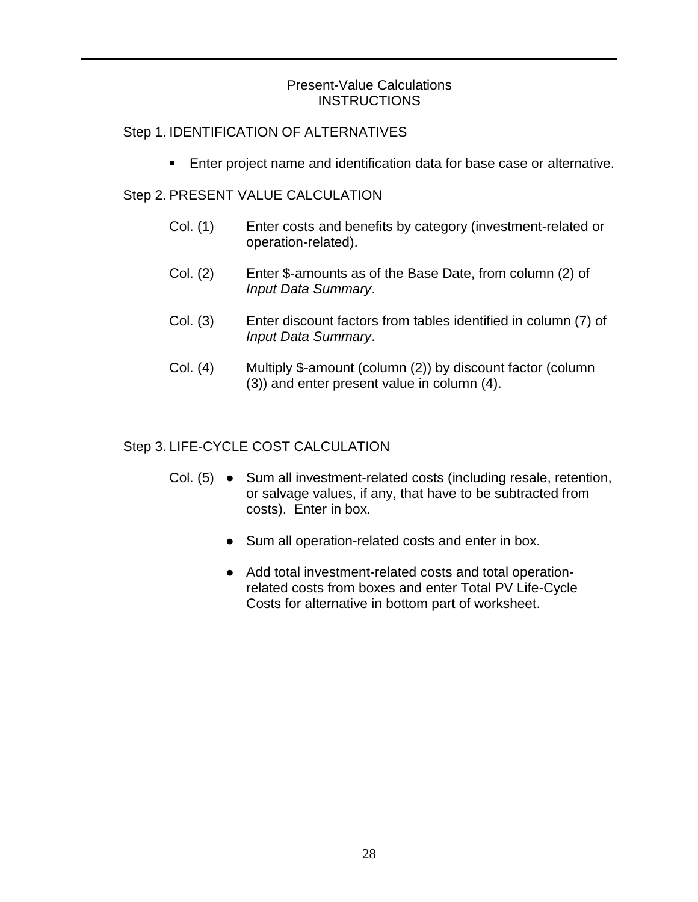#### Present-Value Calculations **INSTRUCTIONS**

#### Step 1. IDENTIFICATION OF ALTERNATIVES

**Enter project name and identification data for base case or alternative.** 

#### Step 2. PRESENT VALUE CALCULATION

- Col. (1) Enter costs and benefits by category (investment-related or operation-related).
- Col. (2) Enter \$-amounts as of the Base Date, from column (2) of *Input Data Summary*.
- Col. (3) Enter discount factors from tables identified in column (7) of *Input Data Summary*.
- Col. (4) Multiply \$-amount (column (2)) by discount factor (column (3)) and enter present value in column (4).

#### Step 3. LIFE-CYCLE COST CALCULATION

- Col. (5) Sum all investment-related costs (including resale, retention, or salvage values, if any, that have to be subtracted from costs). Enter in box.
	- Sum all operation-related costs and enter in box.
	- Add total investment-related costs and total operationrelated costs from boxes and enter Total PV Life-Cycle Costs for alternative in bottom part of worksheet.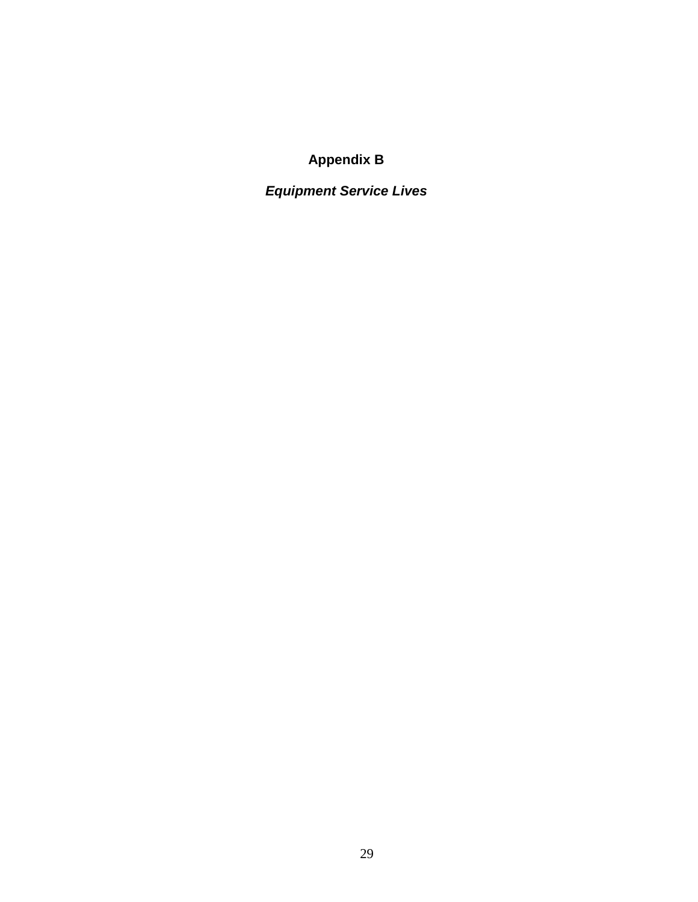## **Appendix B**

## *Equipment Service Lives*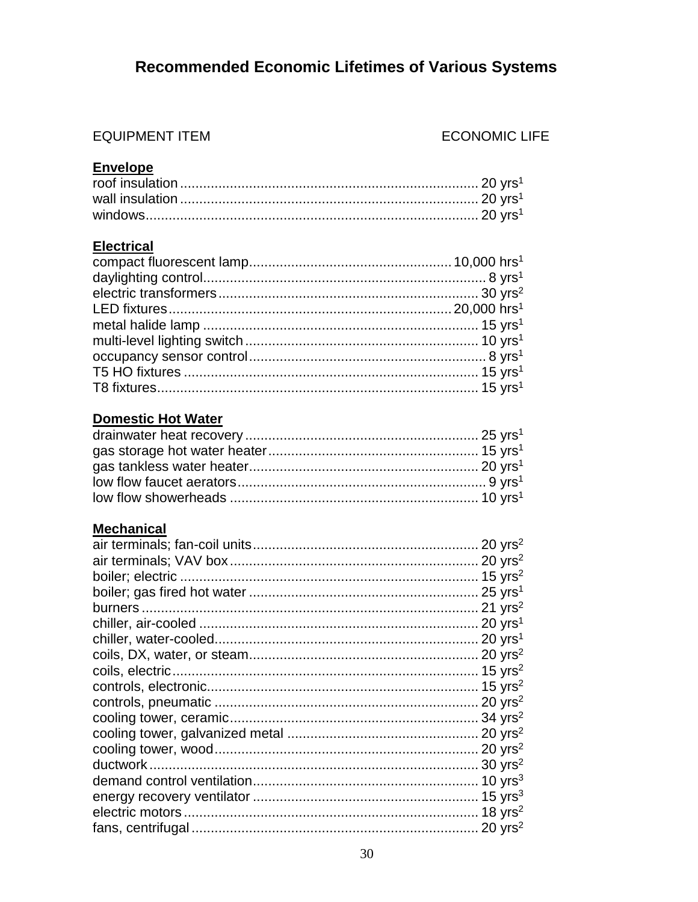## **Recommended Economic Lifetimes of Various Systems**

### **EQUIPMENT ITEM**

#### **ECONOMIC LIFE**

#### **Envelope**

### **Electrical**

### **Domestic Hot Water**

#### **Mechanical**